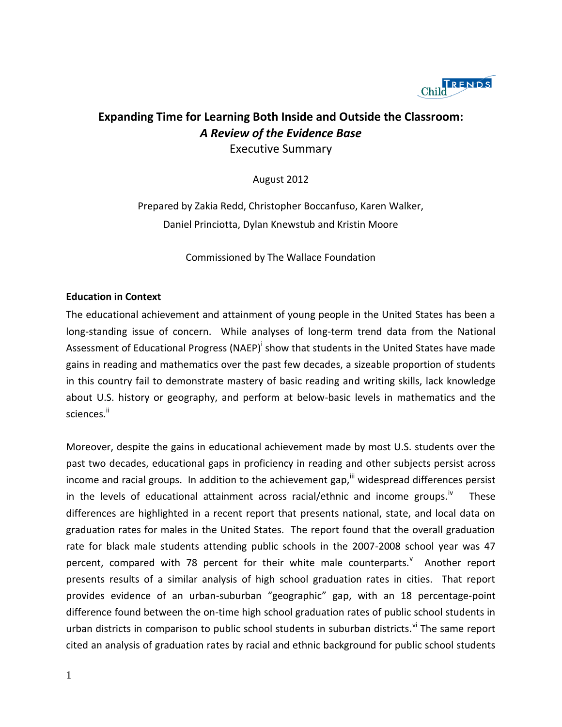

# **Expanding Time for Learning Both Inside and Outside the Classroom:** *A Review of the Evidence Base* Executive Summary

August 2012

Prepared by Zakia Redd, Christopher Boccanfuso, Karen Walker, Daniel Princiotta, Dylan Knewstub and Kristin Moore

Commissioned by The Wallace Foundation

#### **Education in Context**

The educational achievement and attainment of young people in the United States has been a long-standing issue of concern. While analyses of long-term trend data from the National Assessment of Educational Progress (NAEP)<sup>i</sup> show that students in the United States have made gains in reading and mathematics over the past few decades, a sizeable proportion of students in this country fail to demonstrate mastery of basic reading and writing skills, lack knowledge about U.S. history or geography, and perform at below-basic levels in mathematics and the sciences.<sup>ii</sup>

Moreover, despite the gains in educational achievement made by most U.S. students over the past two decades, educational gaps in proficiency in reading and other subjects persist across income and racial groups. In addition to the achievement gap, widespread differences persist in the levels of educational attainment across racial/ethnic and income groups.<sup>iv</sup> These differences are highlighted in a recent report that presents national, state, and local data on graduation rates for males in the United States. The report found that the overall graduation rate for black male students attending public schools in the 2007-2008 school year was 47 percent, compared with 78 percent for their white male counterparts.<sup>v</sup> Another report presents results of a similar analysis of high school graduation rates in cities. That report provides evidence of an urban-suburban "geographic" gap, with an 18 percentage-point difference found between the on-time high school graduation rates of public school students in urban districts in comparison to public school students in suburban districts.<sup>vi</sup> The same report cited an analysis of graduation rates by racial and ethnic background for public school students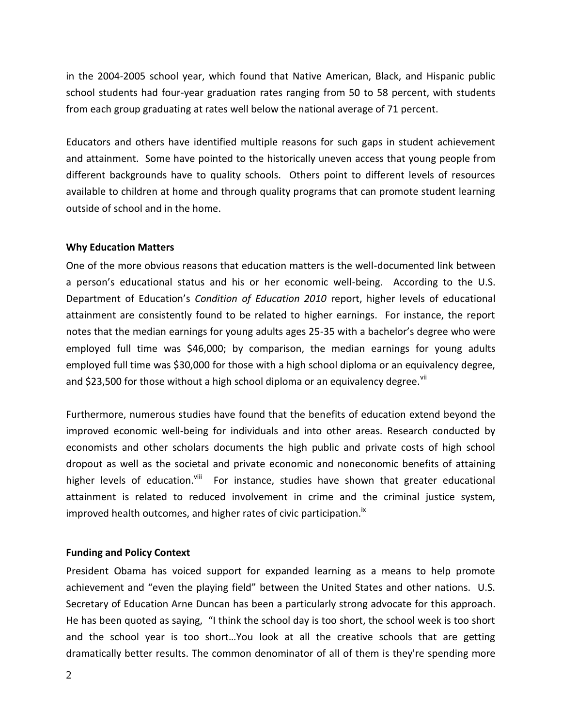in the 2004-2005 school year, which found that Native American, Black, and Hispanic public school students had four-year graduation rates ranging from 50 to 58 percent, with students from each group graduating at rates well below the national average of 71 percent.

Educators and others have identified multiple reasons for such gaps in student achievement and attainment. Some have pointed to the historically uneven access that young people from different backgrounds have to quality schools. Others point to different levels of resources available to children at home and through quality programs that can promote student learning outside of school and in the home.

### **Why Education Matters**

One of the more obvious reasons that education matters is the well-documented link between a person's educational status and his or her economic well-being. According to the U.S. Department of Education's *Condition of Education 2010* report, higher levels of educational attainment are consistently found to be related to higher earnings. For instance, the report notes that the median earnings for young adults ages 25-35 with a bachelor's degree who were employed full time was \$46,000; by comparison, the median earnings for young adults employed full time was \$30,000 for those with a high school diploma or an equivalency degree, and \$23,500 for those without a high school diploma or an equivalency degree.<sup>vii</sup>

Furthermore, numerous studies have found that the benefits of education extend beyond the improved economic well-being for individuals and into other areas. Research conducted by economists and other scholars documents the high public and private costs of high school dropout as well as the societal and private economic and noneconomic benefits of attaining higher levels of education.<sup>viii</sup> For instance, studies have shown that greater educational attainment is related to reduced involvement in crime and the criminal justice system, improved health outcomes, and higher rates of civic participation.<sup>ix</sup>

#### **Funding and Policy Context**

President Obama has voiced support for expanded learning as a means to help promote achievement and "even the playing field" between the United States and other nations. U.S. Secretary of Education Arne Duncan has been a particularly strong advocate for this approach. He has been quoted as saying, "I think the school day is too short, the school week is too short and the school year is too short…You look at all the creative schools that are getting dramatically better results. The common denominator of all of them is they're spending more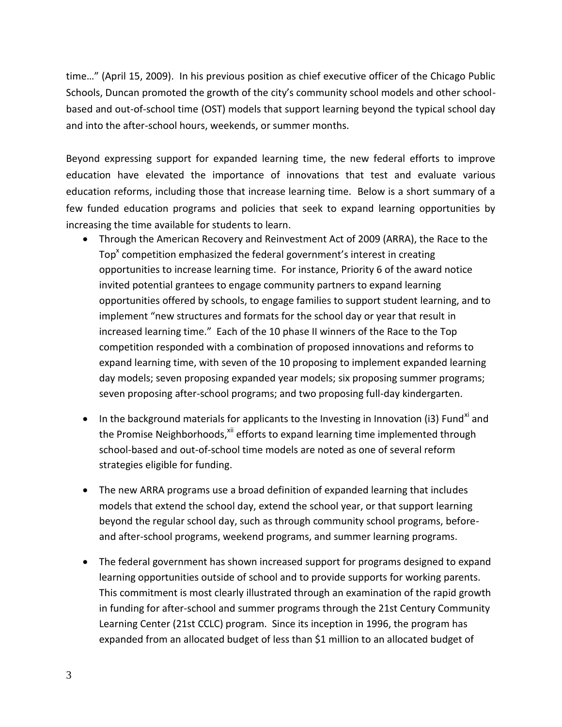time…" (April 15, 2009). In his previous position as chief executive officer of the Chicago Public Schools, Duncan promoted the growth of the city's community school models and other schoolbased and out-of-school time (OST) models that support learning beyond the typical school day and into the after-school hours, weekends, or summer months.

Beyond expressing support for expanded learning time, the new federal efforts to improve education have elevated the importance of innovations that test and evaluate various education reforms, including those that increase learning time. Below is a short summary of a few funded education programs and policies that seek to expand learning opportunities by increasing the time available for students to learn.

- Through the American Recovery and Reinvestment Act of 2009 (ARRA), the Race to the Top<sup>x</sup> competition emphasized the federal government's interest in creating opportunities to increase learning time. For instance, Priority 6 of the award notice invited potential grantees to engage community partners to expand learning opportunities offered by schools, to engage families to support student learning, and to implement "new structures and formats for the school day or year that result in increased learning time." Each of the 10 phase II winners of the Race to the Top competition responded with a combination of proposed innovations and reforms to expand learning time, with seven of the 10 proposing to implement expanded learning day models; seven proposing expanded year models; six proposing summer programs; seven proposing after-school programs; and two proposing full-day kindergarten.
- In the background materials for applicants to the Investing in Innovation (i3) Fund<sup>xi</sup> and the Promise Neighborhoods,<sup>xii</sup> efforts to expand learning time implemented through school-based and out-of-school time models are noted as one of several reform strategies eligible for funding.
- The new ARRA programs use a broad definition of expanded learning that includes models that extend the school day, extend the school year, or that support learning beyond the regular school day, such as through community school programs, beforeand after-school programs, weekend programs, and summer learning programs.
- The federal government has shown increased support for programs designed to expand learning opportunities outside of school and to provide supports for working parents. This commitment is most clearly illustrated through an examination of the rapid growth in funding for after-school and summer programs through the 21st Century Community Learning Center (21st CCLC) program. Since its inception in 1996, the program has expanded from an allocated budget of less than \$1 million to an allocated budget of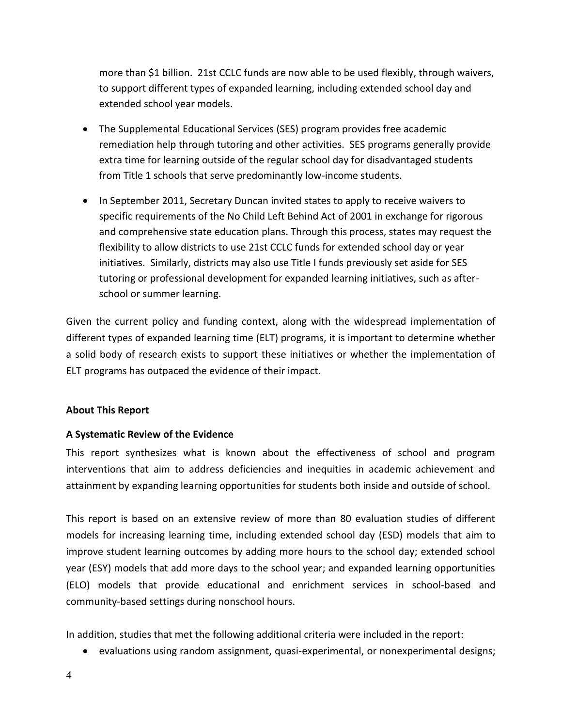more than \$1 billion. 21st CCLC funds are now able to be used flexibly, through waivers, to support different types of expanded learning, including extended school day and extended school year models.

- The Supplemental Educational Services (SES) program provides free academic remediation help through tutoring and other activities. SES programs generally provide extra time for learning outside of the regular school day for disadvantaged students from Title 1 schools that serve predominantly low-income students.
- In September 2011, Secretary Duncan invited states to apply to receive waivers to specific requirements of the No Child Left Behind Act of 2001 in exchange for rigorous and comprehensive state education plans. Through this process, states may request the flexibility to allow districts to use 21st CCLC funds for extended school day or year initiatives. Similarly, districts may also use Title I funds previously set aside for SES tutoring or professional development for expanded learning initiatives, such as afterschool or summer learning.

Given the current policy and funding context, along with the widespread implementation of different types of expanded learning time (ELT) programs, it is important to determine whether a solid body of research exists to support these initiatives or whether the implementation of ELT programs has outpaced the evidence of their impact.

### **About This Report**

# **A Systematic Review of the Evidence**

This report synthesizes what is known about the effectiveness of school and program interventions that aim to address deficiencies and inequities in academic achievement and attainment by expanding learning opportunities for students both inside and outside of school.

This report is based on an extensive review of more than 80 evaluation studies of different models for increasing learning time, including extended school day (ESD) models that aim to improve student learning outcomes by adding more hours to the school day; extended school year (ESY) models that add more days to the school year; and expanded learning opportunities (ELO) models that provide educational and enrichment services in school-based and community-based settings during nonschool hours.

In addition, studies that met the following additional criteria were included in the report:

evaluations using random assignment, quasi-experimental, or nonexperimental designs;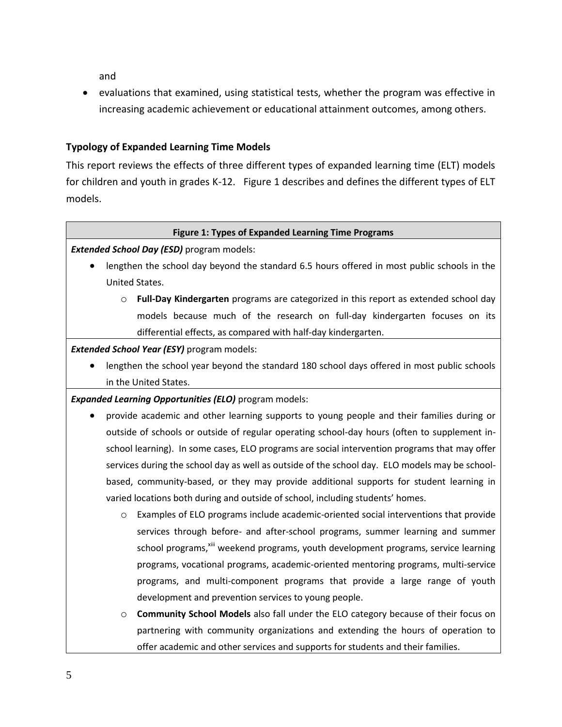and

 evaluations that examined, using statistical tests, whether the program was effective in increasing academic achievement or educational attainment outcomes, among others.

# **Typology of Expanded Learning Time Models**

This report reviews the effects of three different types of expanded learning time (ELT) models for children and youth in grades K-12. Figure 1 describes and defines the different types of ELT models.

#### **Figure 1: Types of Expanded Learning Time Programs**

*Extended School Day (ESD)* program models:

- lengthen the school day beyond the standard 6.5 hours offered in most public schools in the United States.
	- o **Full-Day Kindergarten** programs are categorized in this report as extended school day models because much of the research on full-day kindergarten focuses on its differential effects, as compared with half-day kindergarten.

*Extended School Year (ESY)* program models:

 lengthen the school year beyond the standard 180 school days offered in most public schools in the United States.

*Expanded Learning Opportunities (ELO)* program models:

- provide academic and other learning supports to young people and their families during or outside of schools or outside of regular operating school-day hours (often to supplement inschool learning). In some cases, ELO programs are social intervention programs that may offer services during the school day as well as outside of the school day. ELO models may be schoolbased, community-based, or they may provide additional supports for student learning in varied locations both during and outside of school, including students' homes.
	- o Examples of ELO programs include academic-oriented social interventions that provide services through before- and after-school programs, summer learning and summer school programs,<sup>xiii</sup> weekend programs, youth development programs, service learning programs, vocational programs, academic-oriented mentoring programs, multi-service programs, and multi-component programs that provide a large range of youth development and prevention services to young people.
	- o **Community School Models** also fall under the ELO category because of their focus on partnering with community organizations and extending the hours of operation to offer academic and other services and supports for students and their families.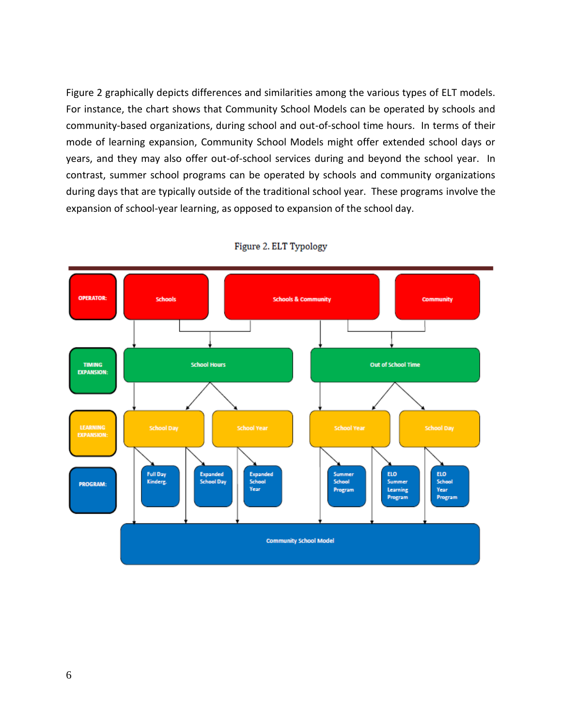Figure 2 graphically depicts differences and similarities among the various types of ELT models. For instance, the chart shows that Community School Models can be operated by schools and community-based organizations, during school and out-of-school time hours. In terms of their mode of learning expansion, Community School Models might offer extended school days or years, and they may also offer out-of-school services during and beyond the school year. In contrast, summer school programs can be operated by schools and community organizations during days that are typically outside of the traditional school year. These programs involve the expansion of school-year learning, as opposed to expansion of the school day.



Figure 2. ELT Typology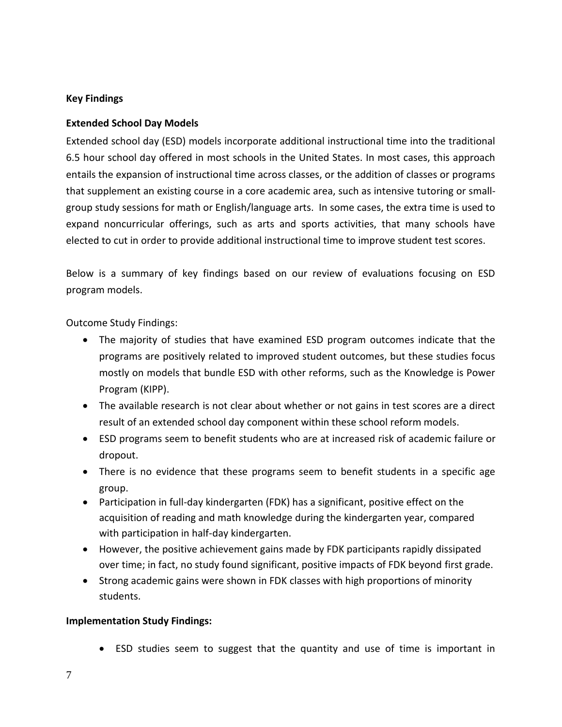## **Key Findings**

### **Extended School Day Models**

Extended school day (ESD) models incorporate additional instructional time into the traditional 6.5 hour school day offered in most schools in the United States. In most cases, this approach entails the expansion of instructional time across classes, or the addition of classes or programs that supplement an existing course in a core academic area, such as intensive tutoring or smallgroup study sessions for math or English/language arts. In some cases, the extra time is used to expand noncurricular offerings, such as arts and sports activities, that many schools have elected to cut in order to provide additional instructional time to improve student test scores.

Below is a summary of key findings based on our review of evaluations focusing on ESD program models.

Outcome Study Findings:

- The majority of studies that have examined ESD program outcomes indicate that the programs are positively related to improved student outcomes, but these studies focus mostly on models that bundle ESD with other reforms, such as the Knowledge is Power Program (KIPP).
- The available research is not clear about whether or not gains in test scores are a direct result of an extended school day component within these school reform models.
- ESD programs seem to benefit students who are at increased risk of academic failure or dropout.
- There is no evidence that these programs seem to benefit students in a specific age group.
- Participation in full-day kindergarten (FDK) has a significant, positive effect on the acquisition of reading and math knowledge during the kindergarten year, compared with participation in half-day kindergarten.
- However, the positive achievement gains made by FDK participants rapidly dissipated over time; in fact, no study found significant, positive impacts of FDK beyond first grade.
- Strong academic gains were shown in FDK classes with high proportions of minority students.

### **Implementation Study Findings:**

ESD studies seem to suggest that the quantity and use of time is important in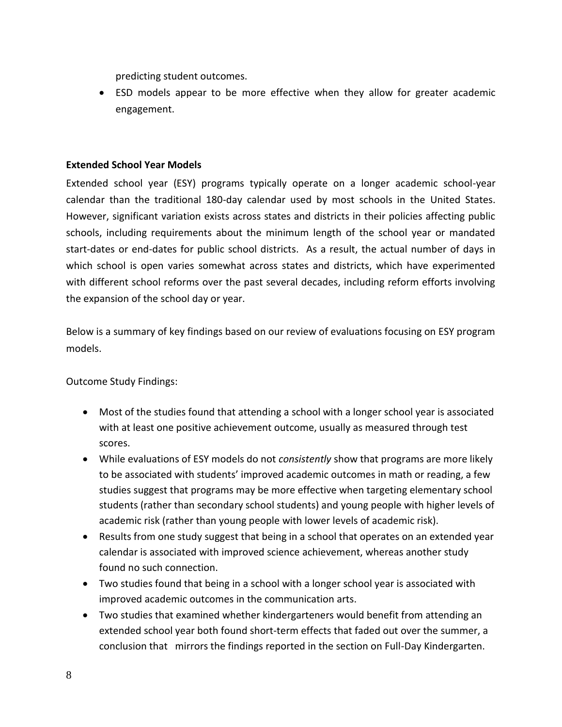predicting student outcomes.

 ESD models appear to be more effective when they allow for greater academic engagement.

### **Extended School Year Models**

Extended school year (ESY) programs typically operate on a longer academic school-year calendar than the traditional 180-day calendar used by most schools in the United States. However, significant variation exists across states and districts in their policies affecting public schools, including requirements about the minimum length of the school year or mandated start-dates or end-dates for public school districts. As a result, the actual number of days in which school is open varies somewhat across states and districts, which have experimented with different school reforms over the past several decades, including reform efforts involving the expansion of the school day or year.

Below is a summary of key findings based on our review of evaluations focusing on ESY program models.

Outcome Study Findings:

- Most of the studies found that attending a school with a longer school year is associated with at least one positive achievement outcome, usually as measured through test scores.
- While evaluations of ESY models do not *consistently* show that programs are more likely to be associated with students' improved academic outcomes in math or reading, a few studies suggest that programs may be more effective when targeting elementary school students (rather than secondary school students) and young people with higher levels of academic risk (rather than young people with lower levels of academic risk).
- Results from one study suggest that being in a school that operates on an extended year calendar is associated with improved science achievement, whereas another study found no such connection.
- Two studies found that being in a school with a longer school year is associated with improved academic outcomes in the communication arts.
- Two studies that examined whether kindergarteners would benefit from attending an extended school year both found short-term effects that faded out over the summer, a conclusion that mirrors the findings reported in the section on Full-Day Kindergarten.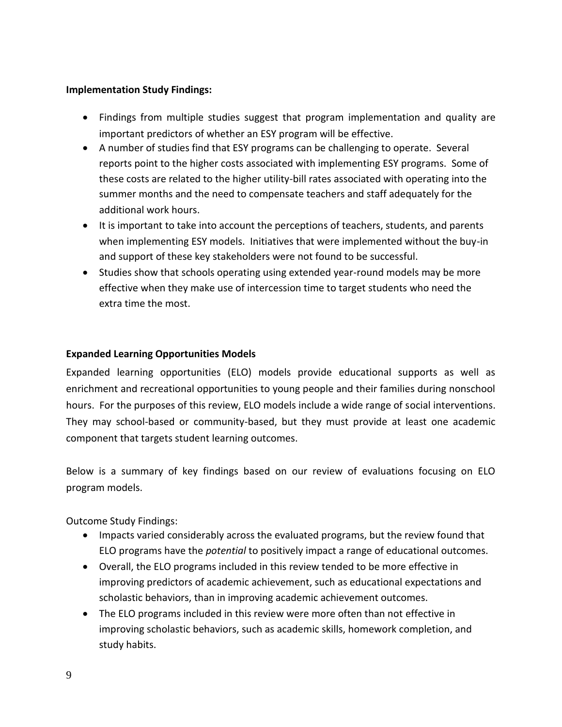### **Implementation Study Findings:**

- Findings from multiple studies suggest that program implementation and quality are important predictors of whether an ESY program will be effective.
- A number of studies find that ESY programs can be challenging to operate. Several reports point to the higher costs associated with implementing ESY programs. Some of these costs are related to the higher utility-bill rates associated with operating into the summer months and the need to compensate teachers and staff adequately for the additional work hours.
- It is important to take into account the perceptions of teachers, students, and parents when implementing ESY models. Initiatives that were implemented without the buy-in and support of these key stakeholders were not found to be successful.
- Studies show that schools operating using extended year-round models may be more effective when they make use of intercession time to target students who need the extra time the most.

# **Expanded Learning Opportunities Models**

Expanded learning opportunities (ELO) models provide educational supports as well as enrichment and recreational opportunities to young people and their families during nonschool hours. For the purposes of this review, ELO models include a wide range of social interventions. They may school-based or community-based, but they must provide at least one academic component that targets student learning outcomes.

Below is a summary of key findings based on our review of evaluations focusing on ELO program models.

Outcome Study Findings:

- Impacts varied considerably across the evaluated programs, but the review found that ELO programs have the *potential* to positively impact a range of educational outcomes.
- Overall, the ELO programs included in this review tended to be more effective in improving predictors of academic achievement, such as educational expectations and scholastic behaviors, than in improving academic achievement outcomes.
- The ELO programs included in this review were more often than not effective in improving scholastic behaviors, such as academic skills, homework completion, and study habits.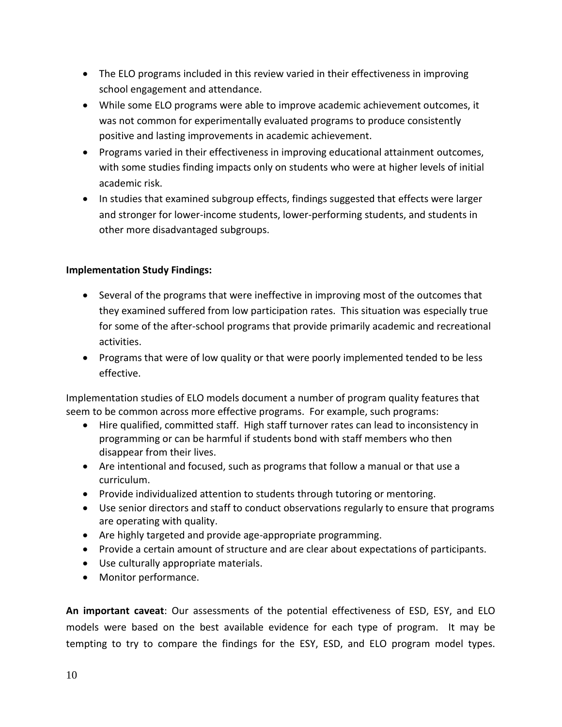- The ELO programs included in this review varied in their effectiveness in improving school engagement and attendance.
- While some ELO programs were able to improve academic achievement outcomes, it was not common for experimentally evaluated programs to produce consistently positive and lasting improvements in academic achievement.
- Programs varied in their effectiveness in improving educational attainment outcomes, with some studies finding impacts only on students who were at higher levels of initial academic risk.
- In studies that examined subgroup effects, findings suggested that effects were larger and stronger for lower-income students, lower-performing students, and students in other more disadvantaged subgroups.

# **Implementation Study Findings:**

- Several of the programs that were ineffective in improving most of the outcomes that they examined suffered from low participation rates. This situation was especially true for some of the after-school programs that provide primarily academic and recreational activities.
- Programs that were of low quality or that were poorly implemented tended to be less effective.

Implementation studies of ELO models document a number of program quality features that seem to be common across more effective programs. For example, such programs:

- Hire qualified, committed staff. High staff turnover rates can lead to inconsistency in programming or can be harmful if students bond with staff members who then disappear from their lives.
- Are intentional and focused, such as programs that follow a manual or that use a curriculum.
- Provide individualized attention to students through tutoring or mentoring.
- Use senior directors and staff to conduct observations regularly to ensure that programs are operating with quality.
- Are highly targeted and provide age-appropriate programming.
- Provide a certain amount of structure and are clear about expectations of participants.
- Use culturally appropriate materials.
- Monitor performance.

**An important caveat**: Our assessments of the potential effectiveness of ESD, ESY, and ELO models were based on the best available evidence for each type of program. It may be tempting to try to compare the findings for the ESY, ESD, and ELO program model types.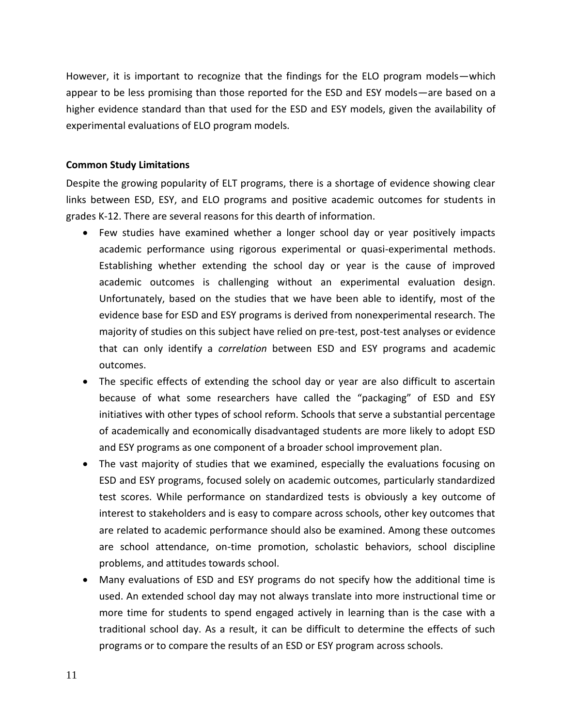However, it is important to recognize that the findings for the ELO program models—which appear to be less promising than those reported for the ESD and ESY models—are based on a higher evidence standard than that used for the ESD and ESY models, given the availability of experimental evaluations of ELO program models.

#### **Common Study Limitations**

Despite the growing popularity of ELT programs, there is a shortage of evidence showing clear links between ESD, ESY, and ELO programs and positive academic outcomes for students in grades K-12. There are several reasons for this dearth of information.

- Few studies have examined whether a longer school day or year positively impacts academic performance using rigorous experimental or quasi-experimental methods. Establishing whether extending the school day or year is the cause of improved academic outcomes is challenging without an experimental evaluation design. Unfortunately, based on the studies that we have been able to identify, most of the evidence base for ESD and ESY programs is derived from nonexperimental research. The majority of studies on this subject have relied on pre-test, post-test analyses or evidence that can only identify a *correlation* between ESD and ESY programs and academic outcomes.
- The specific effects of extending the school day or year are also difficult to ascertain because of what some researchers have called the "packaging" of ESD and ESY initiatives with other types of school reform. Schools that serve a substantial percentage of academically and economically disadvantaged students are more likely to adopt ESD and ESY programs as one component of a broader school improvement plan.
- The vast majority of studies that we examined, especially the evaluations focusing on ESD and ESY programs, focused solely on academic outcomes, particularly standardized test scores. While performance on standardized tests is obviously a key outcome of interest to stakeholders and is easy to compare across schools, other key outcomes that are related to academic performance should also be examined. Among these outcomes are school attendance, on-time promotion, scholastic behaviors, school discipline problems, and attitudes towards school.
- Many evaluations of ESD and ESY programs do not specify how the additional time is used. An extended school day may not always translate into more instructional time or more time for students to spend engaged actively in learning than is the case with a traditional school day. As a result, it can be difficult to determine the effects of such programs or to compare the results of an ESD or ESY program across schools.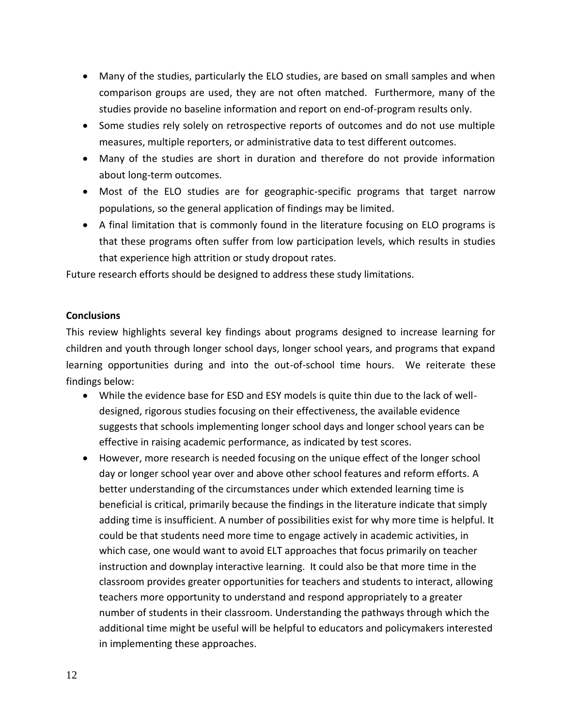- Many of the studies, particularly the ELO studies, are based on small samples and when comparison groups are used, they are not often matched. Furthermore, many of the studies provide no baseline information and report on end-of-program results only.
- Some studies rely solely on retrospective reports of outcomes and do not use multiple measures, multiple reporters, or administrative data to test different outcomes.
- Many of the studies are short in duration and therefore do not provide information about long-term outcomes.
- Most of the ELO studies are for geographic-specific programs that target narrow populations, so the general application of findings may be limited.
- A final limitation that is commonly found in the literature focusing on ELO programs is that these programs often suffer from low participation levels, which results in studies that experience high attrition or study dropout rates.

Future research efforts should be designed to address these study limitations.

# **Conclusions**

This review highlights several key findings about programs designed to increase learning for children and youth through longer school days, longer school years, and programs that expand learning opportunities during and into the out-of-school time hours. We reiterate these findings below:

- While the evidence base for ESD and ESY models is quite thin due to the lack of welldesigned, rigorous studies focusing on their effectiveness, the available evidence suggests that schools implementing longer school days and longer school years can be effective in raising academic performance, as indicated by test scores.
- However, more research is needed focusing on the unique effect of the longer school day or longer school year over and above other school features and reform efforts. A better understanding of the circumstances under which extended learning time is beneficial is critical, primarily because the findings in the literature indicate that simply adding time is insufficient. A number of possibilities exist for why more time is helpful. It could be that students need more time to engage actively in academic activities, in which case, one would want to avoid ELT approaches that focus primarily on teacher instruction and downplay interactive learning. It could also be that more time in the classroom provides greater opportunities for teachers and students to interact, allowing teachers more opportunity to understand and respond appropriately to a greater number of students in their classroom. Understanding the pathways through which the additional time might be useful will be helpful to educators and policymakers interested in implementing these approaches.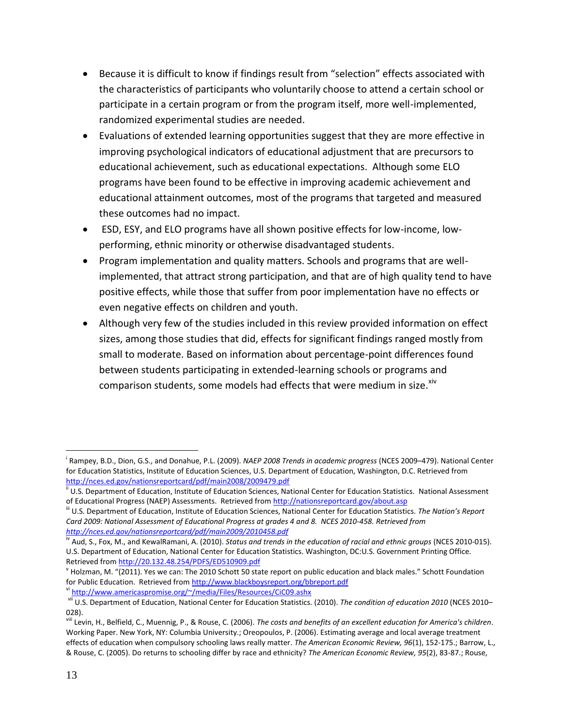- Because it is difficult to know if findings result from "selection" effects associated with the characteristics of participants who voluntarily choose to attend a certain school or participate in a certain program or from the program itself, more well-implemented, randomized experimental studies are needed.
- Evaluations of extended learning opportunities suggest that they are more effective in improving psychological indicators of educational adjustment that are precursors to educational achievement, such as educational expectations. Although some ELO programs have been found to be effective in improving academic achievement and educational attainment outcomes, most of the programs that targeted and measured these outcomes had no impact.
- ESD, ESY, and ELO programs have all shown positive effects for low-income, lowperforming, ethnic minority or otherwise disadvantaged students.
- Program implementation and quality matters. Schools and programs that are wellimplemented, that attract strong participation, and that are of high quality tend to have positive effects, while those that suffer from poor implementation have no effects or even negative effects on children and youth.
- Although very few of the studies included in this review provided information on effect sizes, among those studies that did, effects for significant findings ranged mostly from small to moderate. Based on information about percentage-point differences found between students participating in extended-learning schools or programs and comparison students, some models had effects that were medium in size. Xiv

 $\overline{a}$ 

i Rampey, B.D., Dion, G.S., and Donahue, P.L. (2009). *NAEP 2008 Trends in academic progress* (NCES 2009–479). National Center for Education Statistics, Institute of Education Sciences, U.S. Department of Education, Washington, D.C. Retrieved from <http://nces.ed.gov/nationsreportcard/pdf/main2008/2009479.pdf>

U.S. Department of Education, Institute of Education Sciences, National Center for Education Statistics. National Assessment of Educational Progress (NAEP) Assessments. Retrieved fro[m http://nationsreportcard.gov/about.asp](http://nationsreportcard.gov/about.asp)

iii U.S. Department of Education, Institute of Education Sciences, National Center for Education Statistics. *The Nation's Report Card 2009: National Assessment of Educational Progress at grades 4 and 8. NCES 2010-458. Retrieved from <http://nces.ed.gov/nationsreportcard/pdf/main2009/2010458.pdf>*

<sup>&</sup>lt;sup>iv</sup> Aud, S., Fox, M., and KewalRamani, A. (2010). *Status and trends in the education of racial and ethnic groups* (NCES 2010-015). U.S. Department of Education, National Center for Education Statistics. Washington, DC:U.S. Government Printing Office. Retrieved fro[m http://20.132.48.254/PDFS/ED510909.pdf](http://20.132.48.254/PDFS/ED510909.pdf)

v Holzman, M. "(2011). Yes we can: The 2010 Schott 50 state report on public education and black males." Schott Foundation for Public Education. Retrieved from<http://www.blackboysreport.org/bbreport.pdf>

vi <http://www.americaspromise.org/~/media/Files/Resources/CiC09.ashx>

vii U.S. Department of Education, National Center for Education Statistics. (2010). *The condition of education 2010* (NCES 2010– 028).

viii Levin, H., Belfield, C., Muennig, P., & Rouse, C. (2006). *The costs and benefits of an excellent education for America's children*. Working Paper. New York, NY: Columbia University.; Oreopoulos, P. (2006). Estimating average and local average treatment effects of education when compulsory schooling laws really matter. *The American Economic Review, 96*(1), 152-175.; Barrow, L., & Rouse, C. (2005). Do returns to schooling differ by race and ethnicity? *The American Economic Review, 95*(2), 83-87.; Rouse,